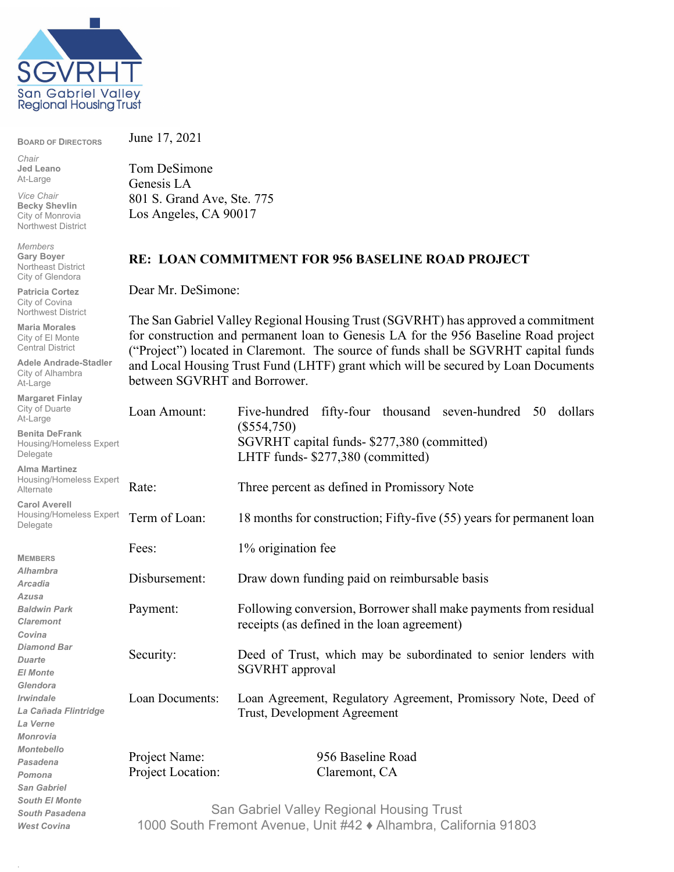

**BOARD OF DIRECTORS**

*Chair* **Jed Leano** At-Large

*Vice Chair* **Becky Shevlin** City of Monrovia Northwest District

*Members* **Gary Boyer** Northeast District City of Glendora

**Patricia Cortez** City of Covina Northwest District

**Maria Morales** City of El Monte Central District

**Adele Andrade-Stadler** City of Alhambra At-Large

**Margaret Finlay** City of At-Lar

.

June 17, 2021

Tom DeSimone Genesis LA 801 S. Grand Ave, Ste. 775 Los Angeles, CA 90017

## **RE: LOAN COMMITMENT FOR 956 BASELINE ROAD PROJECT**

Dear Mr. DeSimone:

The San Gabriel Valley Regional Housing Trust (SGVRHT) has approved a commitment for construction and permanent loan to Genesis LA for the 956 Baseline Road project ("Project") located in Claremont. The source of funds shall be SGVRHT capital funds and Local Housing Trust Fund (LHTF) grant which will be secured by Loan Documents between SGVRHT and Borrower.

| City of Duarte<br>At-Large                                                                 | Loan Amount:                                                                                                  | Five-hundred fifty-four thousand seven-hundred 50<br>dollars                                                    |
|--------------------------------------------------------------------------------------------|---------------------------------------------------------------------------------------------------------------|-----------------------------------------------------------------------------------------------------------------|
| <b>Benita DeFrank</b><br>Housing/Homeless Expert<br>Delegate                               |                                                                                                               | $(\$554,750)$<br>SGVRHT capital funds- \$277,380 (committed)<br>LHTF funds- \$277,380 (committed)               |
| <b>Alma Martinez</b><br>Housing/Homeless Expert<br>Alternate                               | Rate:                                                                                                         | Three percent as defined in Promissory Note                                                                     |
| <b>Carol Averell</b><br>Housing/Homeless Expert<br>Delegate                                | Term of Loan:                                                                                                 | 18 months for construction; Fifty-five (55) years for permanent loan                                            |
| <b>MEMBERS</b>                                                                             | Fees:                                                                                                         | 1% origination fee                                                                                              |
| <b>Alhambra</b><br><b>Arcadia</b>                                                          | Disbursement:                                                                                                 | Draw down funding paid on reimbursable basis                                                                    |
| <b>Azusa</b><br><b>Baldwin Park</b><br><b>Claremont</b><br>Covina                          | Payment:                                                                                                      | Following conversion, Borrower shall make payments from residual<br>receipts (as defined in the loan agreement) |
| <b>Diamond Bar</b><br><b>Duarte</b><br><b>El Monte</b>                                     | Security:                                                                                                     | Deed of Trust, which may be subordinated to senior lenders with<br>SGVRHT approval                              |
| Glendora<br>Irwindale<br>La Cañada Flintridge<br>La Verne                                  | Loan Documents:                                                                                               | Loan Agreement, Regulatory Agreement, Promissory Note, Deed of<br>Trust, Development Agreement                  |
| <b>Monrovia</b><br><b>Montebello</b><br>Pasadena<br>Pomona                                 | Project Name:<br>Project Location:                                                                            | 956 Baseline Road<br>Claremont, CA                                                                              |
| <b>San Gabriel</b><br><b>South El Monte</b><br><b>South Pasadena</b><br><b>West Covina</b> | San Gabriel Valley Regional Housing Trust<br>1000 South Fremont Avenue, Unit #42 ♦ Alhambra, California 91803 |                                                                                                                 |